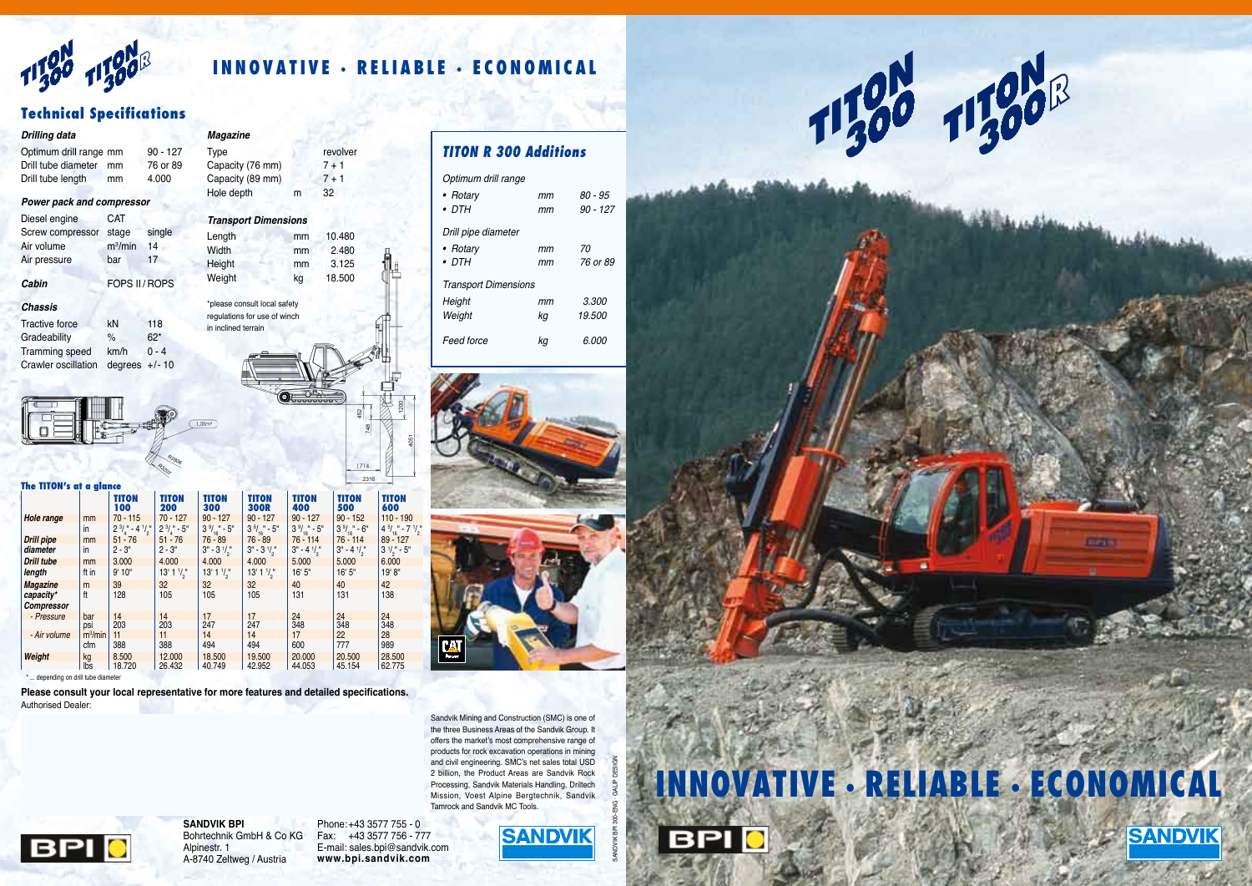**11300 11300** 

# **INNOVATIVE · RELIABLE · ECONOMICAL**

#### *Drilling data*

| <b>Power pack and compressor</b> |    |            |  |  |  |
|----------------------------------|----|------------|--|--|--|
| Drill tube length                | mm | 4.000      |  |  |  |
| Drill tube diameter              | mm | 76 or 89   |  |  |  |
| Optimum drill range mm           |    | $90 - 127$ |  |  |  |
|                                  |    |            |  |  |  |

#### Diesel engine CAT

Tractive force **KN** 118 Gradeability % 62\* Tramming speed km/h 0 - 4 Crawler oscillation degrees +/- 10



| Cabin            | FOPS II/ROPS |        |
|------------------|--------------|--------|
| Air pressure     | bar          | 17     |
| Air volume       | $m^3/m$ in   | 14     |
| Screw compressor | stage        | single |
| <b>PROPRISED</b> |              |        |

#### *Chassis*

Height mm 3.125 Weight kg 18.500

| <b>Magazine</b>             |    |          |  |
|-----------------------------|----|----------|--|
| <b>Type</b>                 |    | revolver |  |
| Capacity (76 mm)            |    | $7 + 1$  |  |
| Capacity (89 mm)            |    | $7 + 1$  |  |
| Hole depth                  | m  | 32       |  |
| <b>Transport Dimensions</b> |    |          |  |
| Length                      | mm | 10.480   |  |
| Width                       | mm | 2.480    |  |

| *please consult local safety |  |
|------------------------------|--|
| regulations for use of winch |  |
| in inclined terrain          |  |
|                              |  |
|                              |  |
|                              |  |

## **Technical Specifications**

| Optimum drill range         |    |              |  |  |
|-----------------------------|----|--------------|--|--|
| • Rotarv                    | mт | 80 - 95      |  |  |
| $\bullet$ DTH               | mт | 90 - 127     |  |  |
| Drill pipe diameter         |    |              |  |  |
| • Rotary                    | mт | 70           |  |  |
| $\bullet$ DTH               | mт | 76 or 89     |  |  |
| <b>Transport Dimensions</b> |    |              |  |  |
| Height                      | mт | <i>3.300</i> |  |  |
| Weight                      | kg | 19.500       |  |  |
| Feed force                  | ΚG | 6.000        |  |  |





## *TITON R 300 Additions*

**SANDVIK BPI** Bohrtechnik GmbH & Co KG Alpinestr. 1 A-8740 Zeltweg / Austria

 $\frac{1}{16}$  - 7  $\frac{1}{1}$ 2 "

Phone:+43 3577 755 - 0 Fax: +43 3577 756 - 777 E-mail: sales.bpi@sandvik.com **www.bpi.sandvik.com**

 $\binom{16}{9}$  3  $\frac{1}{2}$  - 5" 6.000

 $\frac{1}{16}$  - 6  $\frac{4}{5}$ 

户

1714 2316

**SANDVIK** 



تدسيه فاستفا

# **IVE · RELIABLE · ECONOMICAL**

**Bird's** 



**Please consult your local representative for more features and detailed specifications.** Authorised Dealer:

**Weight** kg 8.500 12.000 18.500 19.500 20.000 20.500 28.500

SANDVIK BPI 300-ENG · Galip Design





**BPIO** 



/min | 11 | 11 | 14 | 14 | 17 | 22 | 28 cfm 388 388 494 494 600 777 989

> Sandvik Mining and Construction (SMC) is one of the three Business Areas of the Sandvik Group. It offers the market's most comprehensive range of products for rock excavation operations in mining and civil engineering. SMC's net sales total USD 2 billion, the Product Areas are Sandvik Rock Processing, Sandvik Materials Handling, Driltech Mission, Voest Alpine Bergtechnik, Sandvik Tamrock and Sandvik MC Tools.



\* ... depending on drill tube diameter lbs 18.720 26.432 40.749 42.952 44.053 45.154 62.775

- Air volume m<sup>3</sup>/min

#### **The TITON's at a glance TITON TITON TITON TITON TITON TITON TITON 100 200 300 300R 400 500 600** *Hole range* mm 70 - 115 70 - 127 90 - 127 90 - 127 90 - 127 90 - 152 110 - 190 in  $2^{3}/_{4}$  - 4<sup>1</sup>  $51 - 76$ / 2  $\frac{1}{4}$  2  $\frac{3}{4}$  - 5  $\frac{3}{4}$  $\frac{1}{16}$  - 5" 3  $\frac{9}{16}$  $\frac{1}{16}$  - 5" 3  $\frac{9}{16}$  $\frac{1}{16}$  - 5" 3" *Drill pipe* | mm | 51 - 76 | 51 - 76 | 76 - 89 | 76 - 89 | 76 - 114 | 76 - 114 | 89 - 127 *diameter* in 2 - 3" 2 - 3" 3" - 3<br> **Drill tube** mm 3,000 4,000 4,000  $\frac{1}{2}$  $3^{\circ}$  - 3  $\frac{1}{2}$  $3^{\circ}$  - 4  $\frac{1}{2}$  $3^{\circ}$  - 4  $\frac{1}{2}$ **Drill tube** mm 3.000 4.000 4.000 4.000 5.000 5.000 6.000 *length* | ft in | 9' 10" | 13' 1 1/<sub>2</sub>  $^{\circ}$  13' 1  $\frac{1}{2}$  $^{\circ}$  13' 1  $\frac{1}{2}$ 16' 5" 16' 5" 19' 8" *Magazine* |m |39 |32 |32 |32 |40 |40 |42 *capacity\** |ft |128 |105 |105 |105 |131 |131 |138  $Compression$ *- Pressure* bar 14 14 17 17 24 24 24 psi 203 203 247 247 348 348 348